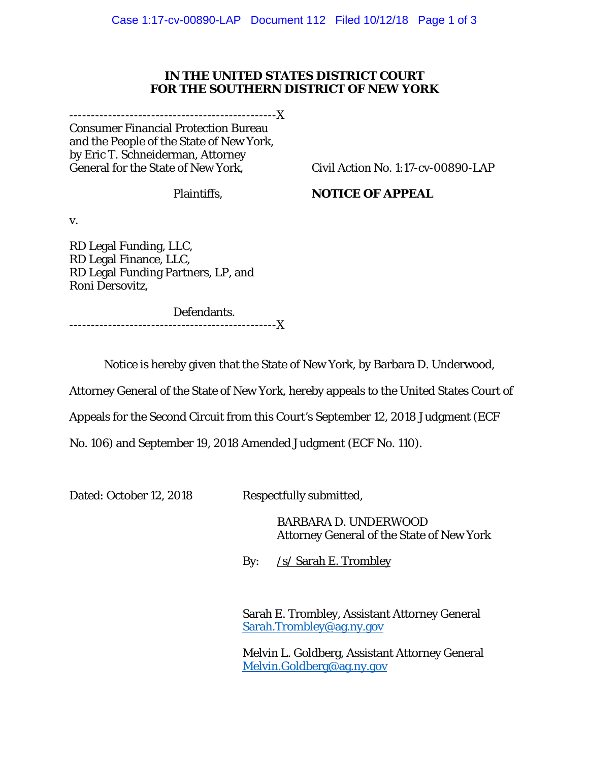## **IN THE UNITED STATES DISTRICT COURT FOR THE SOUTHERN DISTRICT OF NEW YORK**

------------------------------------------------X

Consumer Financial Protection Bureau and the People of the State of New York, by Eric T. Schneiderman, Attorney General for the State of New York,

Civil Action No. 1:17-cv-00890-LAP

Plaintiffs,

## **NOTICE OF APPEAL**

v.

RD Legal Funding, LLC, RD Legal Finance, LLC, RD Legal Funding Partners, LP, and Roni Dersovitz,

 Defendants. ------------------------------------------------X

Notice is hereby given that the State of New York, by Barbara D. Underwood,

Attorney General of the State of New York, hereby appeals to the United States Court of

Appeals for the Second Circuit from this Court's September 12, 2018 Judgment (ECF

No. 106) and September 19, 2018 Amended Judgment (ECF No. 110).

Dated: October 12, 2018 Respectfully submitted,

 BARBARA D. UNDERWOOD Attorney General of the State of New York

By: /s/ Sarah E. Trombley

Sarah E. Trombley, Assistant Attorney General Sarah.Trombley@ag.ny.gov

 Melvin L. Goldberg, Assistant Attorney General Melvin.Goldberg@ag.ny.gov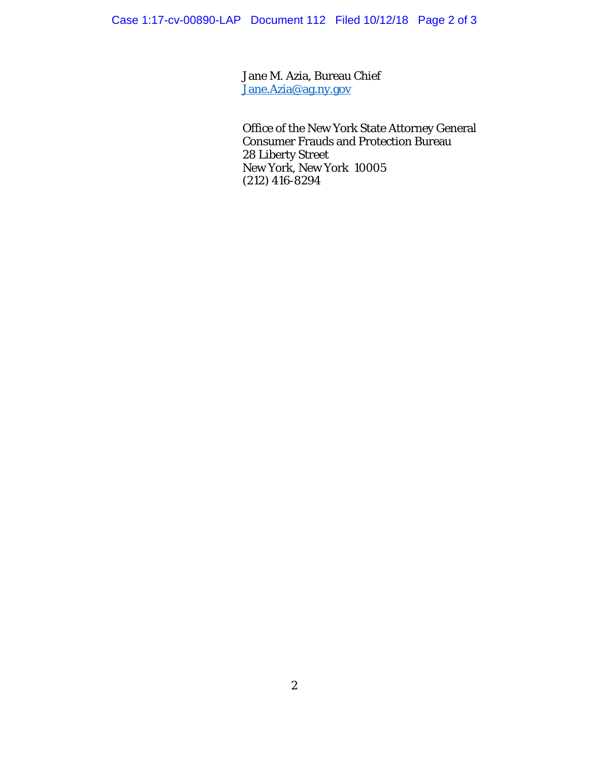Jane M. Azia, Bureau Chief Jane.Azia@ag.ny.gov

 Office of the New York State Attorney General Consumer Frauds and Protection Bureau 28 Liberty Street New York, New York 10005 (212) 416-8294